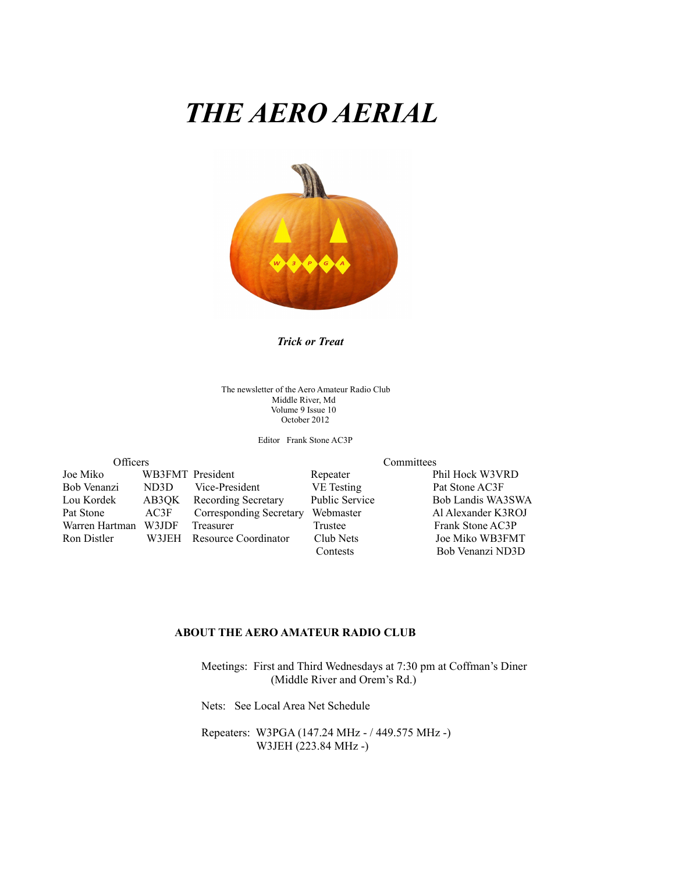# *THE AERO AERIAL*



*Trick or Treat*

The newsletter of the Aero Amateur Radio Club Middle River, Md Volume 9 Issue 10 October 2012

Editor Frank Stone AC3P

| Officers           |                   |              |
|--------------------|-------------------|--------------|
| Joe Miko           | WB3FMT President  |              |
| Bob Venanzi        | ND <sub>3</sub> D | Vice-Preside |
| Lou Kordek         | AB3QK             | Recording S  |
| Pat Stone          | AC3F              | Correspondi  |
| Warren Hartman     | W3JDF             | Treasurer    |
| <b>Ron Distler</b> | W3JEH             | Resource Co  |
|                    |                   |              |

Committees

Repeater Phil Hock W3VRD ent VE Testing Pat Stone AC3F Secretary Public Service Bob Landis WA3SWA Pat Stone Al Alexander K3ROJ Corresponding Secretary Webmaster Al Alexander K3ROJ Trustee Frank Stone AC3P Product and District Club Nets Joe Miko WB3FMT Contests Bob Venanzi ND3D

#### **ABOUT THE AERO AMATEUR RADIO CLUB**

 Meetings: First and Third Wednesdays at 7:30 pm at Coffman's Diner (Middle River and Orem's Rd.)

Nets: See Local Area Net Schedule

 Repeaters: W3PGA (147.24 MHz - / 449.575 MHz -) W3JEH (223.84 MHz -)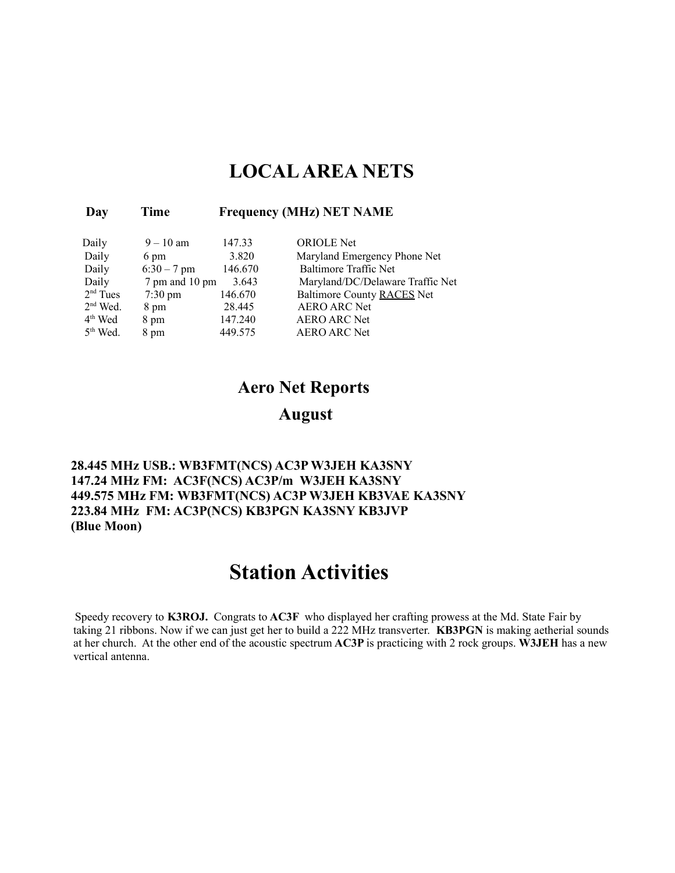### **LOCAL AREA NETS**

| Day        | Time              |         | <b>Frequency (MHz) NET NAME</b>  |
|------------|-------------------|---------|----------------------------------|
| Daily      | $9 - 10$ am       | 147.33  | <b>ORIOLE</b> Net                |
| Daily      | 6 pm              | 3.820   | Maryland Emergency Phone Net     |
| Daily      | $6:30 - 7$ pm     | 146.670 | <b>Baltimore Traffic Net</b>     |
| Daily      | 7 pm and 10 pm    | 3.643   | Maryland/DC/Delaware Traffic Net |
| $2nd$ Tues | $7:30 \text{ pm}$ | 146.670 | Baltimore County RACES Net       |
| $2nd$ Wed. | 8 pm              | 28.445  | <b>AERO ARC Net</b>              |
| $4th$ Wed  | 8 pm              | 147.240 | <b>AERO ARC Net</b>              |
|            |                   |         |                                  |

5<sup>th</sup> Wed. 8 pm 449.575 AERO ARC Net

#### **Aero Net Reports**

#### **August**

**28.445 MHz USB.: WB3FMT(NCS) AC3P W3JEH KA3SNY 147.24 MHz FM: AC3F(NCS) AC3P/m W3JEH KA3SNY 449.575 MHz FM: WB3FMT(NCS) AC3P W3JEH KB3VAE KA3SNY 223.84 MHz FM: AC3P(NCS) KB3PGN KA3SNY KB3JVP (Blue Moon)**

### **Station Activities**

Speedy recovery to **K3ROJ.** Congrats to **AC3F** who displayed her crafting prowess at the Md. State Fair by taking 21 ribbons. Now if we can just get her to build a 222 MHz transverter. **KB3PGN** is making aetherial sounds at her church.At the other end of the acoustic spectrum **AC3P** is practicing with 2 rock groups. **W3JEH** has a new vertical antenna.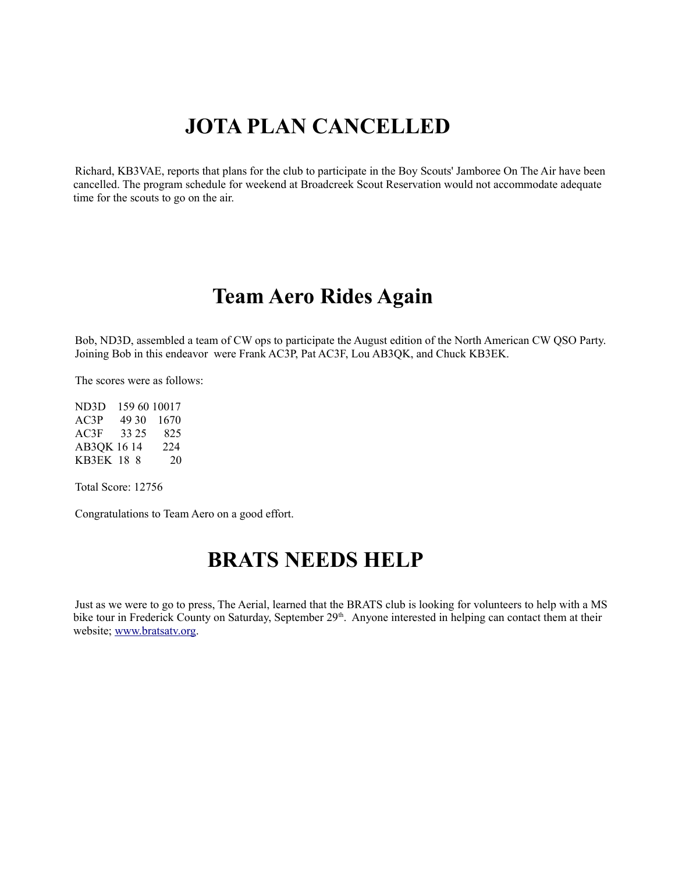# **JOTA PLAN CANCELLED**

Richard, KB3VAE, reports that plans for the club to participate in the Boy Scouts' Jamboree On The Air have been cancelled. The program schedule for weekend at Broadcreek Scout Reservation would not accommodate adequate time for the scouts to go on the air.

### **Team Aero Rides Again**

Bob, ND3D, assembled a team of CW ops to participate the August edition of the North American CW QSO Party. Joining Bob in this endeavor were Frank AC3P, Pat AC3F, Lou AB3QK, and Chuck KB3EK.

The scores were as follows:

ND3D 159 60 10017 AC3P 49 30 1670 AC3F 33 25 825 AB3QK 16 14 224 KB3EK 18 8 20

Total Score: 12756

Congratulations to Team Aero on a good effort.

### **BRATS NEEDS HELP**

Just as we were to go to press, The Aerial, learned that the BRATS club is looking for volunteers to help with a MS bike tour in Frederick County on Saturday, September 29<sup>th</sup>. Anyone interested in helping can contact them at their website; [www.bratsatv.org.](http://www.bratsatv.org/)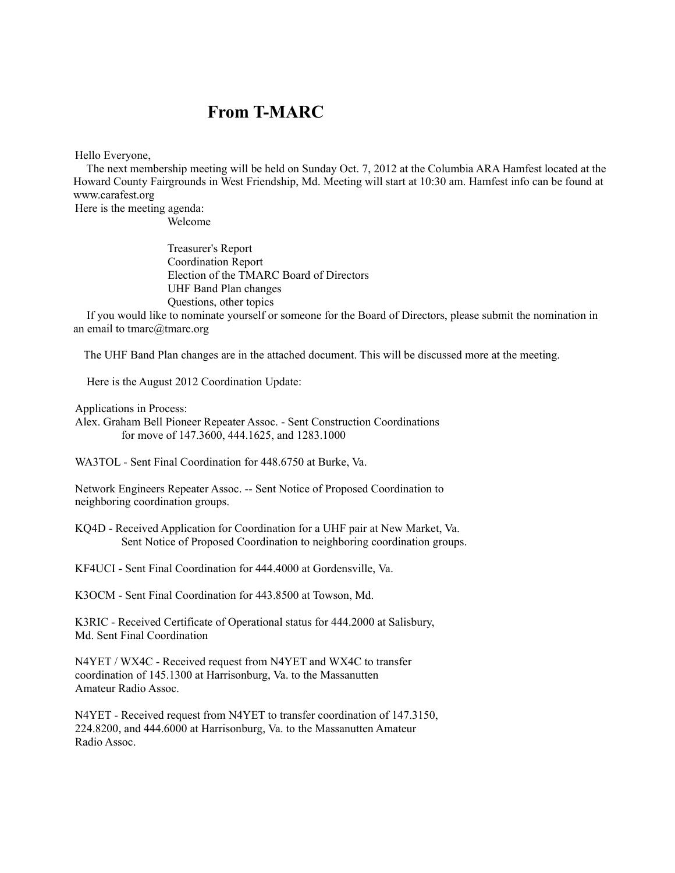#### **From T-MARC**

Hello Everyone,

 The next membership meeting will be held on Sunday Oct. 7, 2012 at the Columbia ARA Hamfest located at the Howard County Fairgrounds in West Friendship, Md. Meeting will start at 10:30 am. Hamfest info can be found at www.carafest.org

Here is the meeting agenda: Welcome

> Treasurer's Report Coordination Report Election of the TMARC Board of Directors UHF Band Plan changes Questions, other topics

 If you would like to nominate yourself or someone for the Board of Directors, please submit the nomination in an email to  $tmarc \omega$ <sub>tmarc.org</sub>

The UHF Band Plan changes are in the attached document. This will be discussed more at the meeting.

Here is the August 2012 Coordination Update:

Applications in Process:

Alex. Graham Bell Pioneer Repeater Assoc. - Sent Construction Coordinations for move of 147.3600, 444.1625, and 1283.1000

WA3TOL - Sent Final Coordination for 448.6750 at Burke, Va.

Network Engineers Repeater Assoc. -- Sent Notice of Proposed Coordination to neighboring coordination groups.

KQ4D - Received Application for Coordination for a UHF pair at New Market, Va. Sent Notice of Proposed Coordination to neighboring coordination groups.

KF4UCI - Sent Final Coordination for 444.4000 at Gordensville, Va.

K3OCM - Sent Final Coordination for 443.8500 at Towson, Md.

K3RIC - Received Certificate of Operational status for 444.2000 at Salisbury, Md. Sent Final Coordination

N4YET / WX4C - Received request from N4YET and WX4C to transfer coordination of 145.1300 at Harrisonburg, Va. to the Massanutten Amateur Radio Assoc.

N4YET - Received request from N4YET to transfer coordination of 147.3150, 224.8200, and 444.6000 at Harrisonburg, Va. to the Massanutten Amateur Radio Assoc.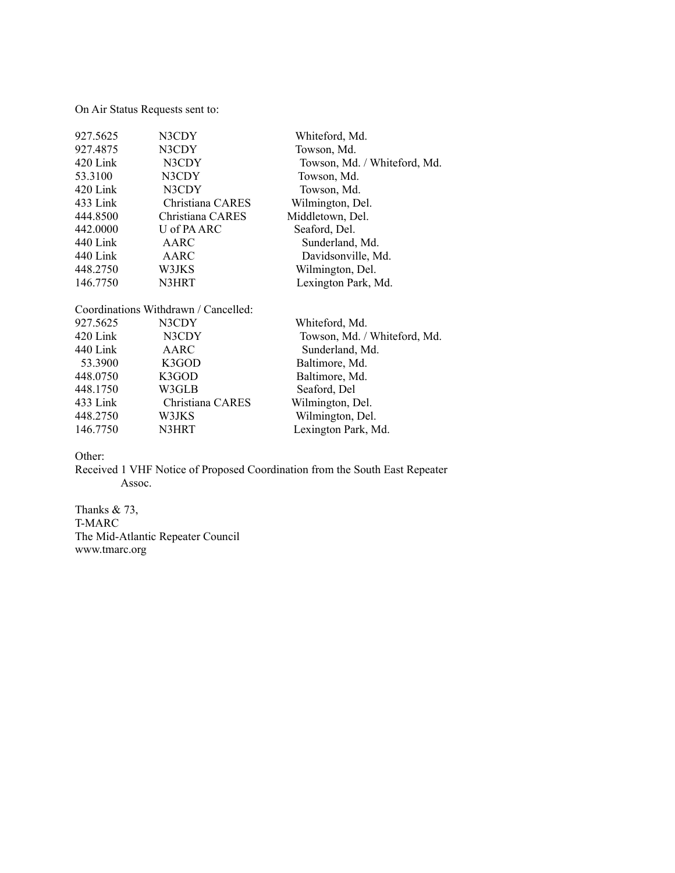On Air Status Requests sent to:

| 927.5625 | N3CDY                                | Whiteford, Md.               |
|----------|--------------------------------------|------------------------------|
| 927.4875 | N3CDY                                | Towson, Md.                  |
| 420 Link | N3CDY                                | Towson, Md. / Whiteford, Md. |
| 53.3100  | N3CDY                                | Towson, Md.                  |
| 420 Link | N3CDY                                | Towson, Md.                  |
| 433 Link | Christiana CARES                     | Wilmington, Del.             |
| 444.8500 | Christiana CARES                     | Middletown, Del.             |
| 442.0000 | U of PA ARC                          | Seaford, Del.                |
| 440 Link | AARC                                 | Sunderland, Md.              |
| 440 Link | AARC                                 | Davidsonville, Md.           |
| 448.2750 | W3JKS                                | Wilmington, Del.             |
| 146.7750 | N3HRT                                | Lexington Park, Md.          |
|          | Coordinations Withdrawn / Cancelled: |                              |
| 927.5625 | N3CDY                                | Whiteford, Md.               |
| 420 Link | N3CDY                                | Towson, Md. / Whiteford, Md. |
| 440 Link | AARC                                 | Sunderland, Md.              |
| 53.3900  | K3GOD                                | Baltimore, Md.               |
| 448.0750 | K3GOD                                | Baltimore, Md.               |
| 448.1750 | W3GLB                                | Seaford, Del                 |
| 433 Link | Christiana CARES                     | Wilmington, Del.             |
| 448.2750 | W3JKS                                | Wilmington, Del.             |
| 146.7750 | N3HRT                                | Lexington Park, Md.          |

Other:

Received 1 VHF Notice of Proposed Coordination from the South East Repeater Assoc.

Thanks  $& 73,$ T-MARC The Mid-Atlantic Repeater Council www.tmarc.org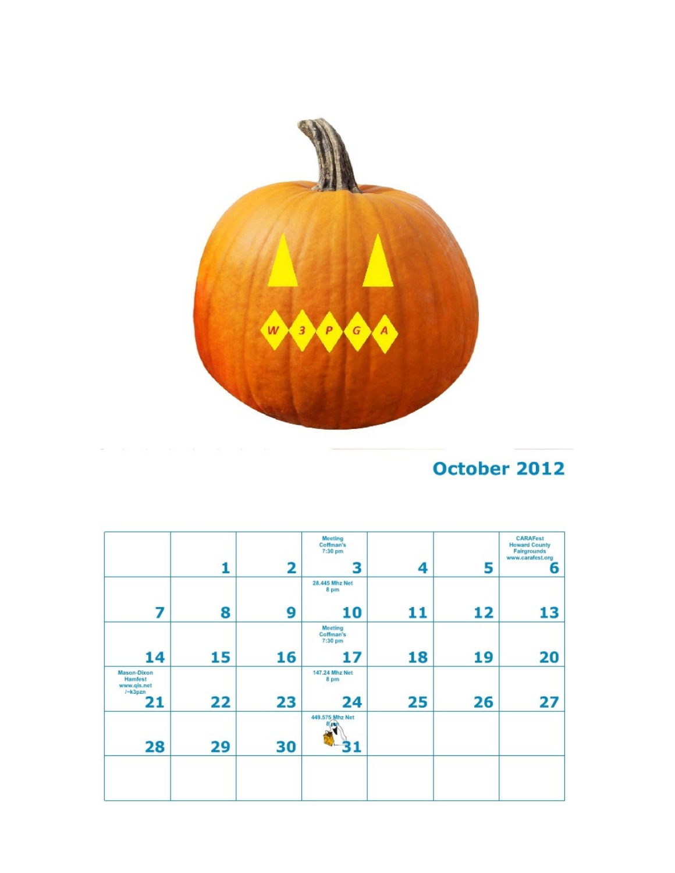

## October 2012

|                                                                |    |                | Meeting<br>Coffman's<br>7:30 pm        |    |    | <b>CARAFest</b><br><b>Howard County</b><br>Fairgrounds<br>www.carafest.org |
|----------------------------------------------------------------|----|----------------|----------------------------------------|----|----|----------------------------------------------------------------------------|
|                                                                | 1  | $\overline{2}$ | з                                      | 4  | 5  | 6                                                                          |
|                                                                |    |                | 28,445 Mhz Net<br>8 pm                 |    |    |                                                                            |
| 7                                                              | 8  | 9              | 10                                     | 11 | 12 | 13                                                                         |
|                                                                |    |                | <b>Meeting</b><br>Coffman's<br>7:30 pm |    |    |                                                                            |
| 14                                                             | 15 | 16             | 17                                     | 18 | 19 | 20                                                                         |
| <b>Mason-Dixon</b><br>Hamfest<br>www.qis.net<br>$k-3pxn$<br>21 | 22 | 23             | 147.24 Mhz Net<br>8 pm<br>24           | 25 | 26 | 27                                                                         |
| 28                                                             | 29 | 30             | 449.575 Mhz Net<br>8/43                |    |    |                                                                            |
|                                                                |    |                |                                        |    |    |                                                                            |